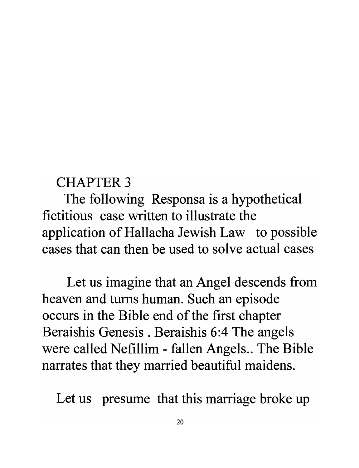## CHAPTER 3

The following Responsa is a hypothetical fictitious case written to illustrate the application of Hallacha Jewish Law to possible cases that can then be used to solve actual cases

Let us imagine that an Angel descends from heaven and turns human. Such an episode occurs in the Bible end of the first chapter Beraishis Genesis. Beraishis 6:4 The angels were called Nefillim - fallen Angels.. The Bible narrates that they married beautiful maidens.

Let us presume that this marriage broke up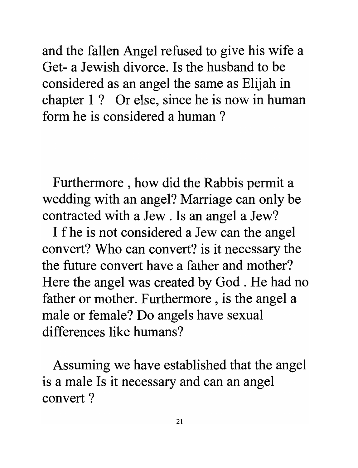and the fallen Angel refused to give his wife a Get- a Jewish divorce. Is the husband to be considered as an angel the same as Elijah in chapter I? Or else, since he is now in human form he is considered a human ?

Furthermore, how did the Rabbis permit a wedding with an angel? Marriage can only be contracted with a Jew . Is an angel a Jew?

I f he is not considered a Jew can the angel convert? Who can convert? is it necessary the the future convert have a father and mother? Here the angel was created by God . He had no father or mother. Furthermore, is the angel a male or female? Do angels have sexual differences like humans?

Assuming we have established that the angel is a male Is it necessary and can an angel convert ?